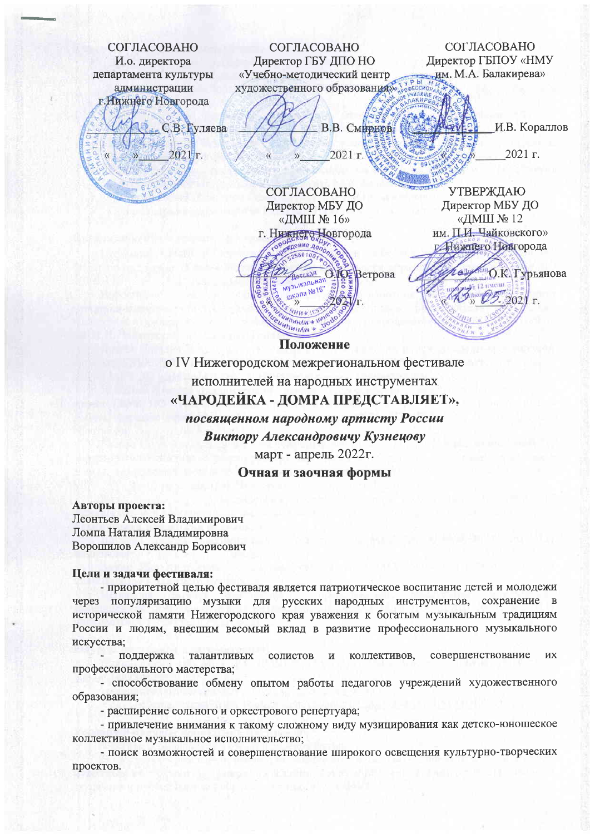СОГЛАСОВАНО И.о. директора департамента культуры администрации Нижнего Новгорода

С.В. Гуляева

 $2021$ <sub>r</sub>.

СОГЛАСОВАНО Директор ГБУ ДПО НО «Учебно-методический центр художественного образования»

В.В. Смирнов

 $2021$   $r$ 

СОГЛАСОВАНО Директор ГБПОУ «НМУ мм. М.А. Балакирева»

И.В. Кораллов

2021 г.

О.К. Гурьянова

 $2021r$ 

СОГЛАСОВАНО Директор МБУ ДО «ДМШ № 16» г. Нижнего Новгорода дение до

Aerckan O CE BerpoBa **ШКОЛА №16"**  $\mathbf{v}$ HHHKI HhHHÁW **UTHHAW** Положение

**УТВЕРЖДАЮ** Директор МБУ ДО «ДМШ № 12 им. П.И. Чайковского» р Нижнего Новгорода

 $A<sup>1</sup>$ 

о IV Нижегородском межрегиональном фестивале исполнителей на народных инструментах «ЧАРОДЕЙКА - ДОМРА ПРЕДСТАВЛЯЕТ», посвященном народному артисту России Виктору Александровичу Кузнецову

март - апрель 2022г.

Очная и заочная формы

Авторы проекта: Леонтьев Алексей Владимирович Ломпа Наталия Владимировна Ворошилов Александр Борисович

#### Цели и задачи фестиваля:

- приоритетной целью фестиваля является патриотическое воспитание детей и молодежи через популяризацию музыки для русских народных инструментов, сохранение в исторической памяти Нижегородского края уважения к богатым музыкальным традициям России и людям, внесшим весомый вклад в развитие профессионального музыкального искусства;

совершенствование поддержка талантливых солистов коллективов, ИX  $\mathbf H$ профессионального мастерства;

- способствование обмену опытом работы педагогов учреждений художественного образования;

- расширение сольного и оркестрового репертуара;

- привлечение внимания к такому сложному виду музицирования как детско-юношеское коллективное музыкальное исполнительство;

- поиск возможностей и совершенствование широкого освещения культурно-творческих проектов.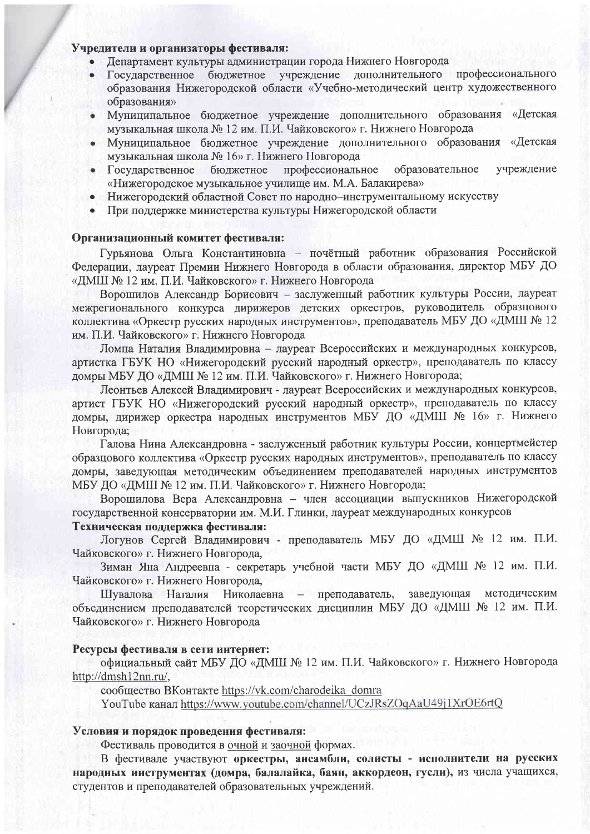#### Учредители и организаторы фестиваля:

- Департамент культуры администрации города Нижнего Новгорода
- Государственное бюджетное учреждение дополнительного профессионального образования Нижегородской области «Учебно-методический центр художественного образования»
- Муниципальное бюджетное учреждение дополнительного образования «Детская  $\bullet$ музыкальная школа № 12 им. П.И. Чайковского» г. Нижнего Новгорода
- Муниципальное бюджетное учреждение дополнительного образования «Детская  $\bullet$ музыкальная школа № 16» г. Нижнего Новгорода
- учреждение Госуларственное бюджетное профессиональное образовательное «Нижегородское музыкальное училище им. М.А. Балакирева»
- Нижегородский областной Совет по народно-инструментальному искусству
- При поддержке министерства культуры Нижегородской области

## Организационный комитет фестиваля:

Гурьянова Ольга Константиновна - почётный работник образования Российской Федерации, лауреат Премии Нижнего Новгорода в области образования, директор МБУ ДО «ЛМШ № 12 им. П.И. Чайковского» г. Нижнего Новгорода

Ворошилов Александр Борисович - заслуженный работник культуры России, лауреат межрегионального конкурса дирижеров детских оркестров, руководитель образцового коллектива «Оркестр русских народных инструментов», преподаватель МБУ ДО «ДМШ № 12 им. П.И. Чайковского» г. Нижнего Новгорода

Ломпа Наталия Владимировна - лауреат Всероссийских и международных конкурсов, артистка ГБУК НО «Нижегородский русский народный оркестр», преподаватель по классу домры МБУ ДО «ДМШ № 12 им. П.И. Чайковского» г. Нижнего Новгорода;

Леонтьев Алексей Владимирович - лауреат Всероссийских и международных конкурсов, артист ГБУК НО «Нижегородский русский народный оркестр», преподаватель по классу домры, дирижер оркестра народных инструментов МБУ ДО «ДМШ № 16» г. Нижнего Новгорода;

Галова Нина Александровна - заслуженный работник культуры России, концертмейстер образцового коллектива «Оркестр русских народных инструментов», преподаватель по классу домры, заведующая методическим объединением преподавателей народных инструментов МБУ ДО «ДМШ № 12 им. П.И. Чайковского» г. Нижнего Новгорода;

Ворошилова Вера Александровна - член ассоциации выпускников Нижегородской государственной консерватории им. М.И. Глинки, лауреат международных конкурсов

### Техническая поллержка фестиваля:

Логунов Сергей Владимирович - преподаватель МБУ ДО «ДМШ № 12 им. П.И. Чайковского» г. Нижнего Новгорода,

Зиман Яна Андреевна - секретарь учебной части МБУ ДО «ДМШ № 12 им. П.И. Чайковского» г. Нижнего Новгорода,

Николаевна - преподаватель, заведующая методическим Шувалова Наталия объединением преподавателей теоретических дисциплин МБУ ДО «ДМШ № 12 им. П.И. Чайковского» г. Нижнего Новгорода

#### Ресурсы фестиваля в сети интернет:

официальный сайт МБУ ДО «ДМШ № 12 им. П.И. Чайковского» г. Нижнего Новгорода http://dmsh12nn.ru/,

сообщество ВКонтакте https://vk.com/charodeika\_domra

YouTube канал https://www.youtube.com/channel/UCzJRsZOqAaU49j1XrOE6rtQ

#### Условия и порядок проведения фестиваля:

Фестиваль проводится в очной и заочной формах.

В фестивале участвуют оркестры, ансамбли, солисты - исполнители на русских народных инструментах (домра, балалайка, баян, аккордеон, гусли), из числа учащихся, студентов и преподавателей образовательных учреждений.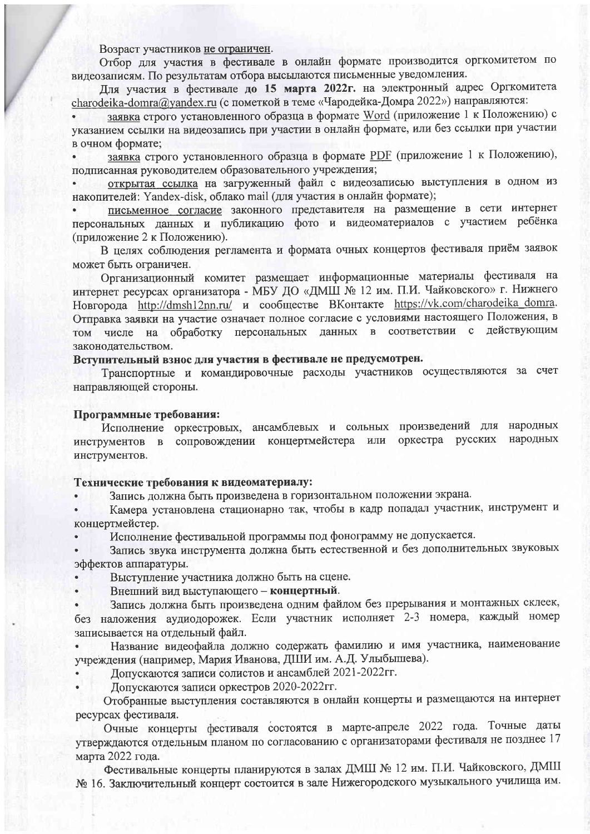Возраст участников не ограничен.

Отбор для участия в фестивале в онлайн формате производится оргкомитетом по видеозаписям. По результатам отбора высылаются письменные уведомления.

Для участия в фестивале до 15 марта 2022г. на электронный адрес Оргкомитета charodeika-domra@yandex.ru (с пометкой в теме «Чародейка-Домра 2022») направляются:

заявка строго установленного образца в формате Word (приложение 1 к Положению) с указанием ссылки на видеозапись при участии в онлайн формате, или без ссылки при участии в очном формате;

заявка строго установленного образца в формате **PDF** (приложение 1 к Положению), подписанная руководителем образовательного учреждения;

открытая ссылка на загруженный файл с видеозаписью выступления в одном из накопителей: Yandex-disk, облако mail (для участия в онлайн формате);

письменное согласие законного представителя на размещение в сети интернет персональных данных и публикацию фото и видеоматериалов с участием ребёнка (приложение 2 к Положению).

В целях соблюдения регламента и формата очных концертов фестиваля приём заявок может быть ограничен.

Организационный комитет размещает информационные материалы фестиваля на интернет ресурсах организатора - МБУ ДО «ДМШ № 12 им. П.И. Чайковского» г. Нижнего Новгорода http://dmsh12nn.ru/ и сообществе ВКонтакте https://vk.com/charodeika\_domra. Отправка заявки на участие означает полное согласие с условиями настоящего Положения, в обработку персональных данных в соответствии с действующим том числе на законодательством.

Вступительный взнос для участия в фестивале не предусмотрен.

Транспортные и командировочные расходы участников осуществляются за счет направляющей стороны.

#### Программные требования:

Исполнение оркестровых, ансамблевых и сольных произведений для народных народных инструментов в сопровождении концертмейстера или оркестра русских инструментов.

#### Технические требования к видеоматериалу:

Запись должна быть произведена в горизонтальном положении экрана.

Камера установлена стационарно так, чтобы в кадр попадал участник, инструмент и концертмейстер.

Исполнение фестивальной программы под фонограмму не допускается.

Запись звука инструмента должна быть естественной и без дополнительных звуковых эффектов аппаратуры.

Выступление участника должно быть на сцене.

Внешний вид выступающего - концертный.

Запись должна быть произведена одним файлом без прерывания и монтажных склеек, без наложения аудиодорожек. Если участник исполняет 2-3 номера, каждый номер записывается на отдельный файл.

Название видеофайла должно содержать фамилию и имя участника, наименование учреждения (например, Мария Иванова, ДШИ им. А.Д. Улыбышева).

Допускаются записи солистов и ансамблей 2021-2022гг.

Допускаются записи оркестров 2020-2022гг.

Отобранные выступления составляются в онлайн концерты и размещаются на интернет ресурсах фестиваля.

Очные концерты фестиваля состоятся в марте-апреле 2022 года. Точные даты утверждаются отдельным планом по согласованию с организаторами фестиваля не позднее 17 марта 2022 года.

Фестивальные концерты планируются в залах ДМШ № 12 им. П.И. Чайковского, ДМШ № 16. Заключительный концерт состоится в зале Нижегородского музыкального училища им.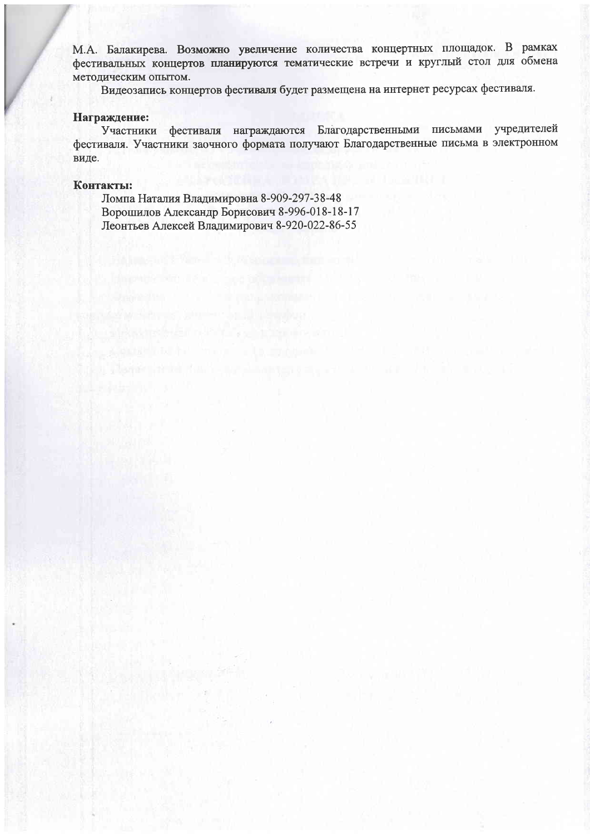М.А. Балакирева. Возможно увеличение количества концертных площадок. В рамках фестивальных концертов планируются тематические встречи и круглый стол для обмена методическим опытом.

Видеозапись концертов фестиваля будет размещена на интернет ресурсах фестиваля.

#### Награждение:

Участники фестиваля награждаются Благодарственными письмами учредителей фестиваля. Участники заочного формата получают Благодарственные письма в электронном виде.

### Контакты:

Ломпа Наталия Владимировна 8-909-297-38-48 Ворошилов Александр Борисович 8-996-018-18-17 Леонтьев Алексей Владимирович 8-920-022-86-55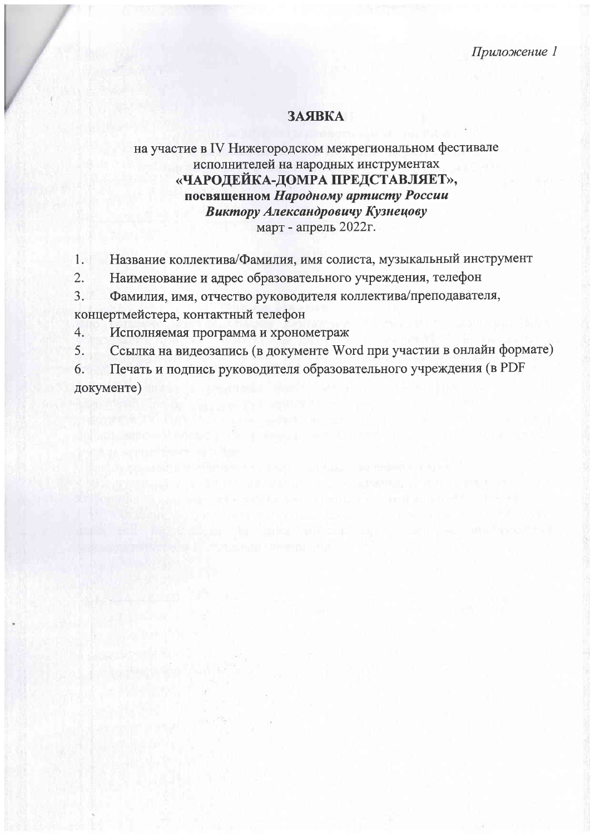# **ЗАЯВКА**

# на участие в IV Нижегородском межрегиональном фестивале исполнителей на народных инструментах «ЧАРОДЕЙКА-ДОМРА ПРЕДСТАВЛЯЕТ», посвященном Народному артисту России Виктору Александровичу Кузнецову март - апрель 2022г.

- Название коллектива/Фамилия, имя солиста, музыкальный инструмент 1.
- Наименование и адрес образовательного учреждения, телефон  $2.$
- Фамилия, имя, отчество руководителя коллектива/преподавателя,  $3.$ концертмейстера, контактный телефон
- 4. Исполняемая программа и хронометраж
- Ссылка на видеозапись (в документе Word при участии в онлайн формате) 5.

Печать и подпись руководителя образовательного учреждения (в PDF 6.

документе)